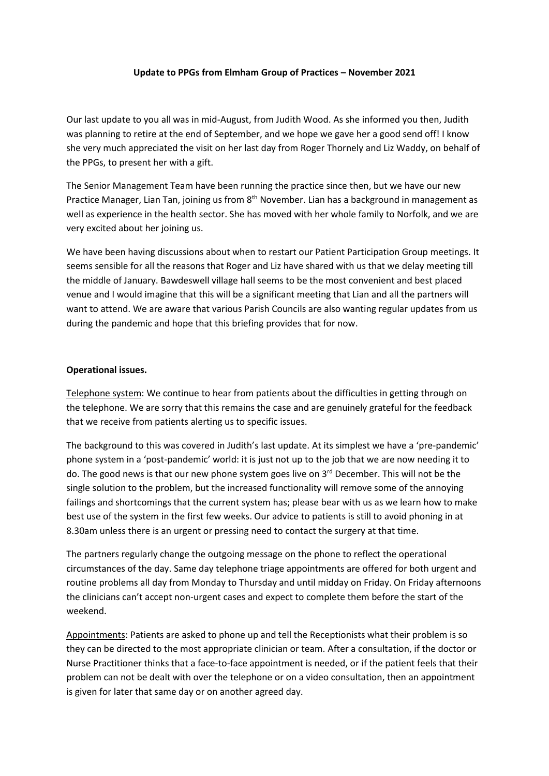## **Update to PPGs from Elmham Group of Practices – November 2021**

Our last update to you all was in mid-August, from Judith Wood. As she informed you then, Judith was planning to retire at the end of September, and we hope we gave her a good send off! I know she very much appreciated the visit on her last day from Roger Thornely and Liz Waddy, on behalf of the PPGs, to present her with a gift.

The Senior Management Team have been running the practice since then, but we have our new Practice Manager, Lian Tan, joining us from 8<sup>th</sup> November. Lian has a background in management as well as experience in the health sector. She has moved with her whole family to Norfolk, and we are very excited about her joining us.

We have been having discussions about when to restart our Patient Participation Group meetings. It seems sensible for all the reasons that Roger and Liz have shared with us that we delay meeting till the middle of January. Bawdeswell village hall seems to be the most convenient and best placed venue and I would imagine that this will be a significant meeting that Lian and all the partners will want to attend. We are aware that various Parish Councils are also wanting regular updates from us during the pandemic and hope that this briefing provides that for now.

#### **Operational issues.**

Telephone system: We continue to hear from patients about the difficulties in getting through on the telephone. We are sorry that this remains the case and are genuinely grateful for the feedback that we receive from patients alerting us to specific issues.

The background to this was covered in Judith's last update. At its simplest we have a 'pre-pandemic' phone system in a 'post-pandemic' world: it is just not up to the job that we are now needing it to do. The good news is that our new phone system goes live on 3<sup>rd</sup> December. This will not be the single solution to the problem, but the increased functionality will remove some of the annoying failings and shortcomings that the current system has; please bear with us as we learn how to make best use of the system in the first few weeks. Our advice to patients is still to avoid phoning in at 8.30am unless there is an urgent or pressing need to contact the surgery at that time.

The partners regularly change the outgoing message on the phone to reflect the operational circumstances of the day. Same day telephone triage appointments are offered for both urgent and routine problems all day from Monday to Thursday and until midday on Friday. On Friday afternoons the clinicians can't accept non-urgent cases and expect to complete them before the start of the weekend.

Appointments: Patients are asked to phone up and tell the Receptionists what their problem is so they can be directed to the most appropriate clinician or team. After a consultation, if the doctor or Nurse Practitioner thinks that a face-to-face appointment is needed, or if the patient feels that their problem can not be dealt with over the telephone or on a video consultation, then an appointment is given for later that same day or on another agreed day.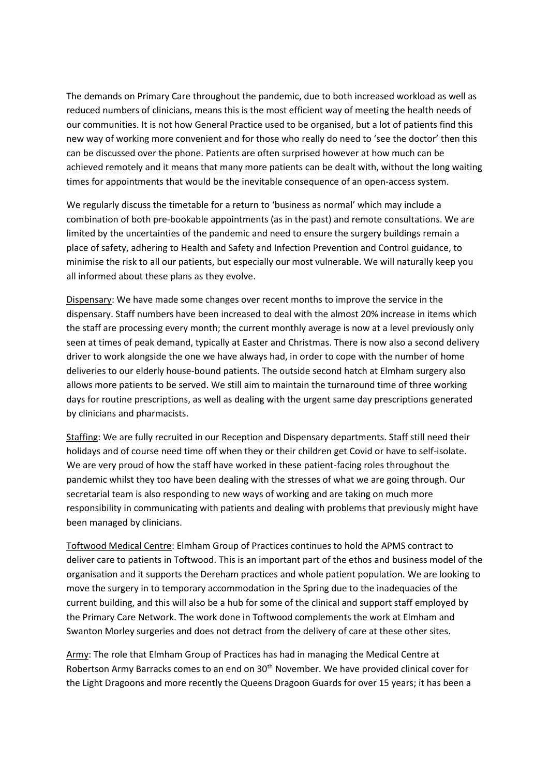The demands on Primary Care throughout the pandemic, due to both increased workload as well as reduced numbers of clinicians, means this is the most efficient way of meeting the health needs of our communities. It is not how General Practice used to be organised, but a lot of patients find this new way of working more convenient and for those who really do need to 'see the doctor' then this can be discussed over the phone. Patients are often surprised however at how much can be achieved remotely and it means that many more patients can be dealt with, without the long waiting times for appointments that would be the inevitable consequence of an open-access system.

We regularly discuss the timetable for a return to 'business as normal' which may include a combination of both pre-bookable appointments (as in the past) and remote consultations. We are limited by the uncertainties of the pandemic and need to ensure the surgery buildings remain a place of safety, adhering to Health and Safety and Infection Prevention and Control guidance, to minimise the risk to all our patients, but especially our most vulnerable. We will naturally keep you all informed about these plans as they evolve.

Dispensary: We have made some changes over recent months to improve the service in the dispensary. Staff numbers have been increased to deal with the almost 20% increase in items which the staff are processing every month; the current monthly average is now at a level previously only seen at times of peak demand, typically at Easter and Christmas. There is now also a second delivery driver to work alongside the one we have always had, in order to cope with the number of home deliveries to our elderly house-bound patients. The outside second hatch at Elmham surgery also allows more patients to be served. We still aim to maintain the turnaround time of three working days for routine prescriptions, as well as dealing with the urgent same day prescriptions generated by clinicians and pharmacists.

Staffing: We are fully recruited in our Reception and Dispensary departments. Staff still need their holidays and of course need time off when they or their children get Covid or have to self-isolate. We are very proud of how the staff have worked in these patient-facing roles throughout the pandemic whilst they too have been dealing with the stresses of what we are going through. Our secretarial team is also responding to new ways of working and are taking on much more responsibility in communicating with patients and dealing with problems that previously might have been managed by clinicians.

Toftwood Medical Centre: Elmham Group of Practices continues to hold the APMS contract to deliver care to patients in Toftwood. This is an important part of the ethos and business model of the organisation and it supports the Dereham practices and whole patient population. We are looking to move the surgery in to temporary accommodation in the Spring due to the inadequacies of the current building, and this will also be a hub for some of the clinical and support staff employed by the Primary Care Network. The work done in Toftwood complements the work at Elmham and Swanton Morley surgeries and does not detract from the delivery of care at these other sites.

Army: The role that Elmham Group of Practices has had in managing the Medical Centre at Robertson Army Barracks comes to an end on 30<sup>th</sup> November. We have provided clinical cover for the Light Dragoons and more recently the Queens Dragoon Guards for over 15 years; it has been a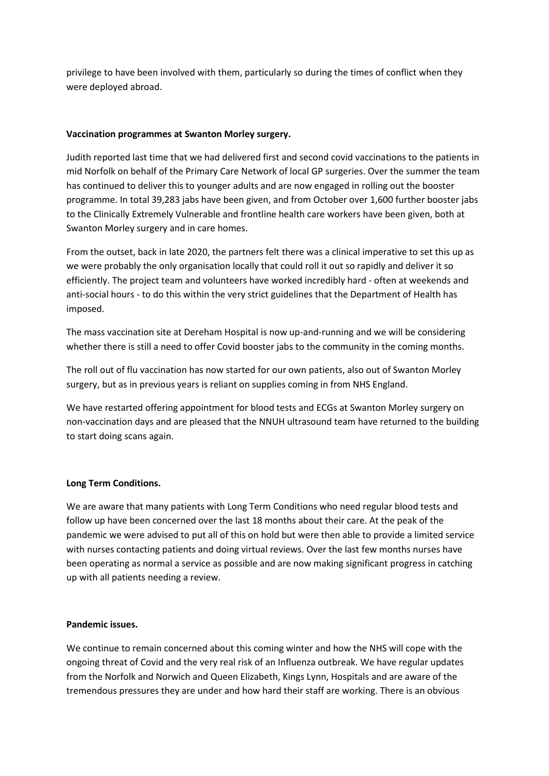privilege to have been involved with them, particularly so during the times of conflict when they were deployed abroad.

# **Vaccination programmes at Swanton Morley surgery.**

Judith reported last time that we had delivered first and second covid vaccinations to the patients in mid Norfolk on behalf of the Primary Care Network of local GP surgeries. Over the summer the team has continued to deliver this to younger adults and are now engaged in rolling out the booster programme. In total 39,283 jabs have been given, and from October over 1,600 further booster jabs to the Clinically Extremely Vulnerable and frontline health care workers have been given, both at Swanton Morley surgery and in care homes.

From the outset, back in late 2020, the partners felt there was a clinical imperative to set this up as we were probably the only organisation locally that could roll it out so rapidly and deliver it so efficiently. The project team and volunteers have worked incredibly hard - often at weekends and anti-social hours - to do this within the very strict guidelines that the Department of Health has imposed.

The mass vaccination site at Dereham Hospital is now up-and-running and we will be considering whether there is still a need to offer Covid booster jabs to the community in the coming months.

The roll out of flu vaccination has now started for our own patients, also out of Swanton Morley surgery, but as in previous years is reliant on supplies coming in from NHS England.

We have restarted offering appointment for blood tests and ECGs at Swanton Morley surgery on non-vaccination days and are pleased that the NNUH ultrasound team have returned to the building to start doing scans again.

# **Long Term Conditions.**

We are aware that many patients with Long Term Conditions who need regular blood tests and follow up have been concerned over the last 18 months about their care. At the peak of the pandemic we were advised to put all of this on hold but were then able to provide a limited service with nurses contacting patients and doing virtual reviews. Over the last few months nurses have been operating as normal a service as possible and are now making significant progress in catching up with all patients needing a review.

## **Pandemic issues.**

We continue to remain concerned about this coming winter and how the NHS will cope with the ongoing threat of Covid and the very real risk of an Influenza outbreak. We have regular updates from the Norfolk and Norwich and Queen Elizabeth, Kings Lynn, Hospitals and are aware of the tremendous pressures they are under and how hard their staff are working. There is an obvious